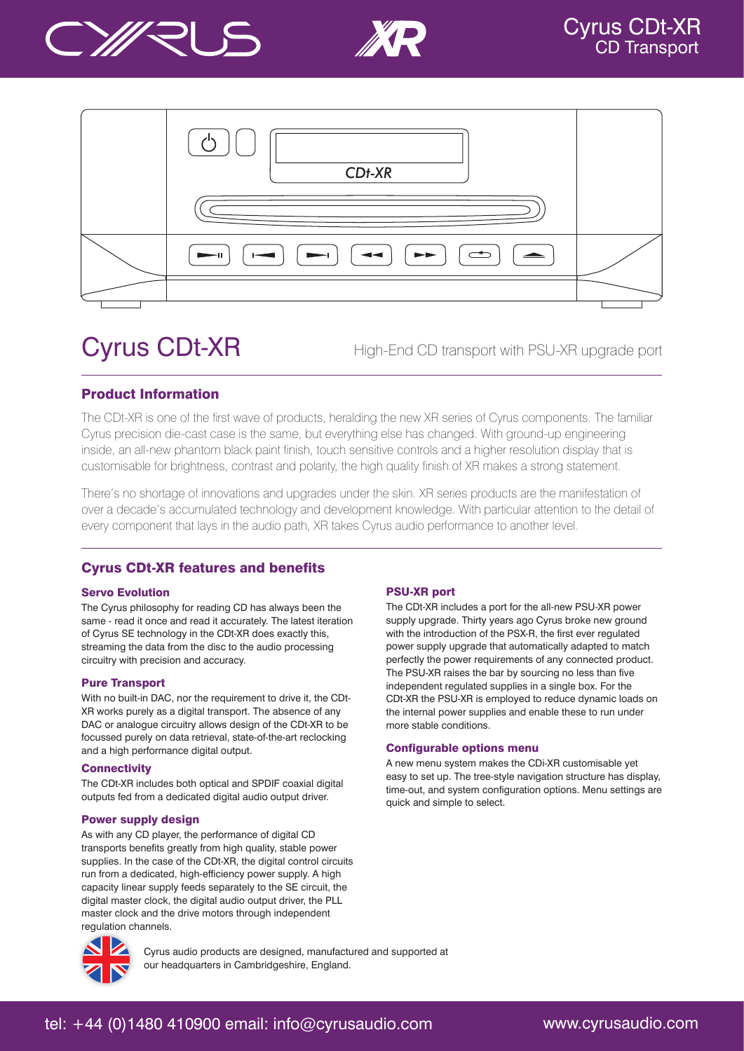





# Cyrus CDt-XR

High-End CD transport with PSU-XR upgrade port

### Product Information

The CDt-XR is one of the first wave of products, heralding the new XR series of Cyrus components. The familiar Cyrus precision die-cast case is the same, but everything else has changed. With ground-up engineering inside, an all-new phantom black paint finish, touch sensitive controls and a higher resolution display that is customisable for brightness, contrast and polarity, the high quality finish of XR makes a strong statement.

There's no shortage of innovations and upgrades under the skin. XR series products are the manifestation of over a decade's accumulated technology and development knowledge. With particular attention to the detail of every component that lays in the audio path, XR takes Cyrus audio performance to another level.

## Cyrus CDt-XR features and benefits

#### Servo Evolution

The Cyrus philosophy for reading CD has always been the same - read it once and read it accurately. The latest iteration of Cyrus SE technology in the CDt-XR does exactly this, streaming the data from the disc to the audio processing circuitry with precision and accuracy.

#### Pure Transport

With no built-in DAC, nor the requirement to drive it, the CDt-XR works purely as a digital transport. The absence of any DAC or analogue circuitry allows design of the CDt-XR to be focussed purely on data retrieval, state-of-the-art reclocking and a high performance digital output.

#### **Connectivity**

The CDt-XR includes both optical and SPDIF coaxial digital outputs fed from a dedicated digital audio output driver.

#### Power supply design

As with any CD player, the performance of digital CD transports benefits greatly from high quality, stable power supplies. In the case of the CDt-XR, the digital control circuits run from a dedicated, high-efficiency power supply. A high capacity linear supply feeds separately to the SE circuit, the digital master clock, the digital audio output driver, the PLL master clock and the drive motors through independent regulation channels.

#### PSU-XR port

The CDt-XR includes a port for the all-new PSU-XR power supply upgrade. Thirty years ago Cyrus broke new ground with the introduction of the PSX-R, the first ever regulated power supply upgrade that automatically adapted to match perfectly the power requirements of any connected product. The PSU-XR raises the bar by sourcing no less than five independent regulated supplies in a single box. For the CDt-XR the PSU-XR is employed to reduce dynamic loads on the internal power supplies and enable these to run under more stable conditions.

#### Configurable options menu

A new menu system makes the CDi-XR customisable yet easy to set up. The tree-style navigation structure has display, time-out, and system configuration options. Menu settings are quick and simple to select.



Cyrus audio products are designed, manufactured and supported at our headquarters in Cambridgeshire, England.